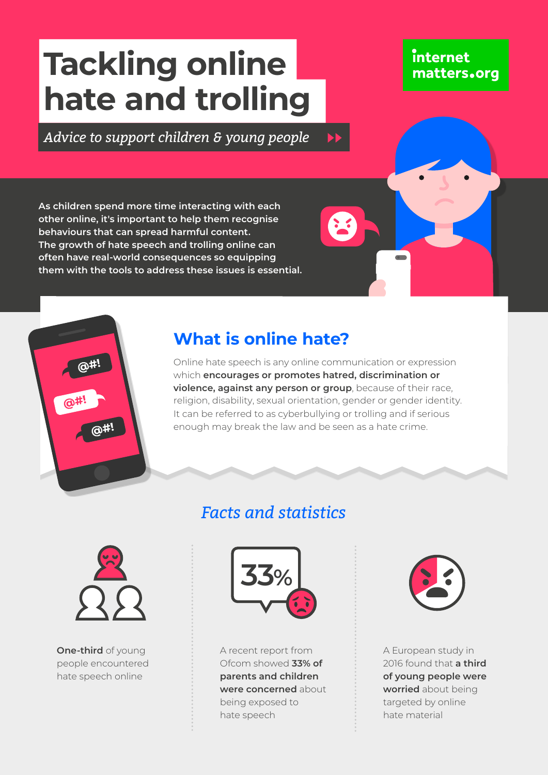# **Tackling online hate and trolling**

#### *Advice to support children & young people*  $\blacktriangleright$

**As children spend more time interacting with each other online, it's important to help them recognise behaviours that can spread harmful content. The growth of hate speech and trolling online can often have real-world consequences so equipping them with the tools to address these issues is essential.**

## **What is online hate?**

Online hate speech is any online communication or expression which **encourages or promotes hatred, discrimination or violence, against any person or group**, because of their race, religion, disability, sexual orientation, gender or gender identity. It can be referred to as cyberbullying or trolling and if serious enough may break the law and be seen as a hate crime.

## *Facts and statistics*



**One-third** of young people encountered hate speech online



A recent report from Ofcom showed **33% of parents and children were concerned** about being exposed to hate speech



**internet** 

matters.org

A European study in 2016 found that **a third of young people were worried** about being targeted by online hate material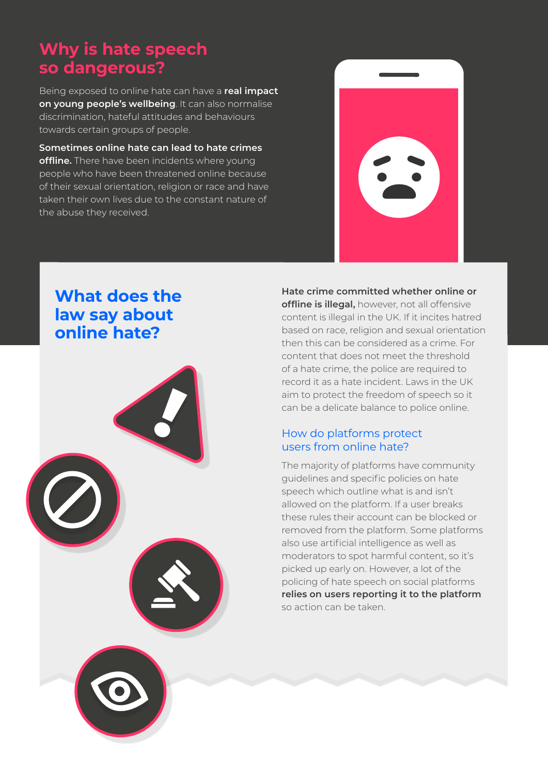## **Why is hate speech so dangerous?**

Being exposed to online hate can have a **real impact on young people's wellbeing**. It can also normalise discrimination, hateful attitudes and behaviours towards certain groups of people.

**Sometimes online hate can lead to hate crimes offline.** There have been incidents where young people who have been threatened online because of their sexual orientation, religion or race and have taken their own lives due to the constant nature of the abuse they received.



#### **What does the law say about online hate?**



**Hate crime committed whether online or offline is illegal,** however, not all offensive content is illegal in the UK. If it incites hatred based on race, religion and sexual orientation then this can be considered as a crime. For content that does not meet the threshold of a hate crime, the police are required to record it as a hate incident. Laws in the UK aim to protect the freedom of speech so it can be a delicate balance to police online.

#### How do platforms protect users from online hate?

The majority of platforms have community guidelines and specific policies on hate speech which outline what is and isn't allowed on the platform. If a user breaks these rules their account can be blocked or removed from the platform. Some platforms also use artificial intelligence as well as moderators to spot harmful content, so it's picked up early on. However, a lot of the policing of hate speech on social platforms **relies on users reporting it to the platform** so action can be taken.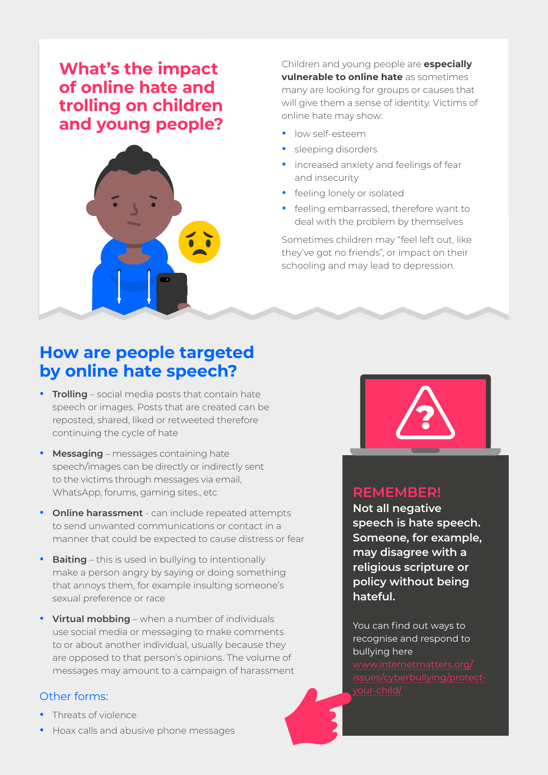### **What's the impact of online hate and trolling on children and young people?**



Children and young people are **especially vulnerable to online hate** as sometimes many are looking for groups or causes that will give them a sense of identity. Victims of online hate may show:

- **•** low self-esteem
- **•** sleeping disorders
- **•** increased anxiety and feelings of fear and insecurity
- **•** feeling lonely or isolated
- **•** feeling embarrassed, therefore want to deal with the problem by themselves

Sometimes children may "feel left out, like they've got no friends", or impact on their schooling and may lead to depression.

#### **How are people targeted by online hate speech?**

- **• Trolling** social media posts that contain hate speech or images. Posts that are created can be reposted, shared, liked or retweeted therefore continuing the cycle of hate
- **• Messaging** messages containing hate speech/images can be directly or indirectly sent to the victims through messages via email, WhatsApp, forums, gaming sites., etc
- **• Online harassment** can include repeated attempts to send unwanted communications or contact in a manner that could be expected to cause distress or fear
- **• Baiting** this is used in bullying to intentionally make a person angry by saying or doing something that annoys them, for example insulting someone's sexual preference or race
- **• Virtual mobbing** when a number of individuals use social media or messaging to make comments to or about another individual, usually because they are opposed to that person's opinions. The volume of messages may amount to a campaign of harassment

#### Other forms:

- **•** Threats of violence
- **•** Hoax calls and abusive phone messages



#### **REMEMBER!**

**Not all negative speech is hate speech. Someone, for example, may disagree with a religious scripture or policy without being hateful.**

You can find out ways to recognise and respond to bullying here

[www.internetmatters.org/](http://www.internetmatters.org/issues/cyberbullying/protect-your-child/)